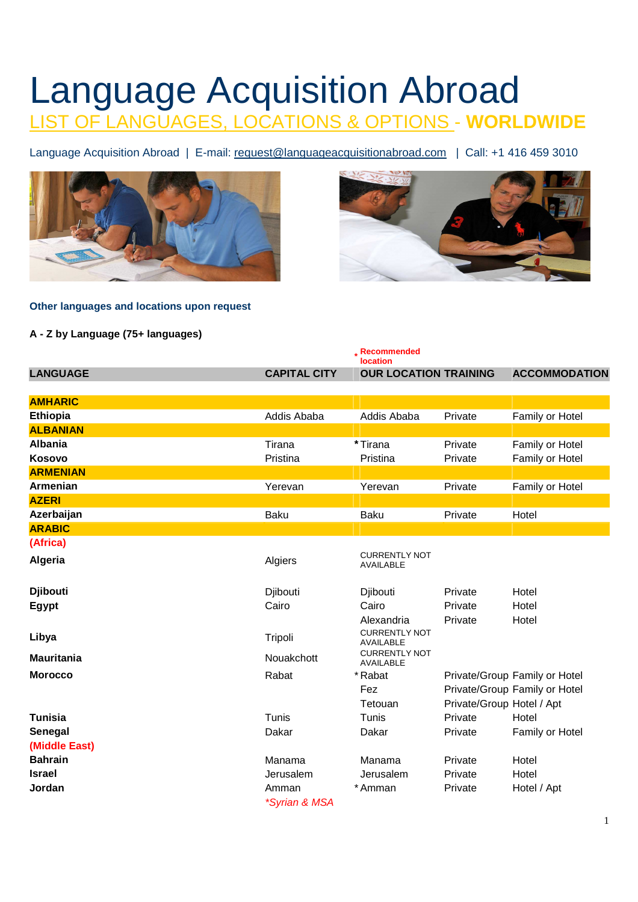# Language Acquisition Abroad LIST OF LANGUAGES, LOCATIONS & OPTIONS - **WORLDWIDE**

Language Acquisition Abroad | E-mail: request@languageacquisitionabroad.com | Call: +1 416 459 3010





# **Other languages and locations upon request**

# **A - Z by Language (75+ languages)**

|                   |                     | . Recommended<br><b>location</b>         |                           |                               |
|-------------------|---------------------|------------------------------------------|---------------------------|-------------------------------|
| <b>LANGUAGE</b>   | <b>CAPITAL CITY</b> | <b>OUR LOCATION TRAINING</b>             |                           | <b>ACCOMMODATION</b>          |
| <b>AMHARIC</b>    |                     |                                          |                           |                               |
|                   |                     |                                          |                           |                               |
| Ethiopia          | Addis Ababa         | Addis Ababa                              | Private                   | Family or Hotel               |
| <b>ALBANIAN</b>   |                     |                                          |                           |                               |
| <b>Albania</b>    | Tirana              | *Tirana                                  | Private                   | Family or Hotel               |
| Kosovo            | Pristina            | Pristina                                 | Private                   | Family or Hotel               |
| <b>ARMENIAN</b>   |                     |                                          |                           |                               |
| Armenian          | Yerevan             | Yerevan                                  | Private                   | Family or Hotel               |
| <b>AZERI</b>      |                     |                                          |                           |                               |
| Azerbaijan        | Baku                | <b>Baku</b>                              | Private                   | Hotel                         |
| <b>ARABIC</b>     |                     |                                          |                           |                               |
| (Africa)          |                     |                                          |                           |                               |
| Algeria           | Algiers             | <b>CURRENTLY NOT</b><br><b>AVAILABLE</b> |                           |                               |
| <b>Djibouti</b>   | Djibouti            | Djibouti                                 | Private                   | Hotel                         |
| <b>Egypt</b>      | Cairo               | Cairo                                    | Private                   | Hotel                         |
|                   |                     | Alexandria                               | Private                   | Hotel                         |
| Libya             | Tripoli             | <b>CURRENTLY NOT</b><br>AVAILABLE        |                           |                               |
| <b>Mauritania</b> | Nouakchott          | <b>CURRENTLY NOT</b><br><b>AVAILABLE</b> |                           |                               |
| <b>Morocco</b>    | Rabat               | * Rabat                                  |                           | Private/Group Family or Hotel |
|                   |                     | Fez                                      |                           | Private/Group Family or Hotel |
|                   |                     | Tetouan                                  | Private/Group Hotel / Apt |                               |
| <b>Tunisia</b>    | Tunis               | Tunis                                    | Private                   | Hotel                         |
| Senegal           | Dakar               | Dakar                                    | Private                   | Family or Hotel               |
| (Middle East)     |                     |                                          |                           |                               |
| <b>Bahrain</b>    | Manama              | Manama                                   | Private                   | Hotel                         |
| <b>Israel</b>     | Jerusalem           | Jerusalem                                | Private                   | Hotel                         |
| Jordan            | Amman               | *Amman                                   | Private                   | Hotel / Apt                   |
|                   | *Syrian & MSA       |                                          |                           |                               |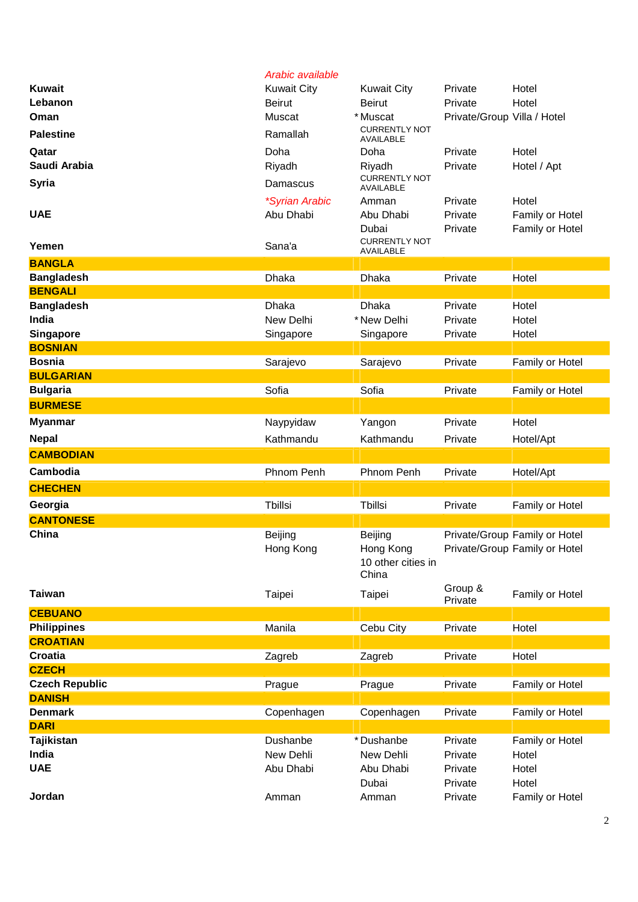|                                   | Arabic available      |                                                     |                             |                                                                |
|-----------------------------------|-----------------------|-----------------------------------------------------|-----------------------------|----------------------------------------------------------------|
| <b>Kuwait</b>                     | <b>Kuwait City</b>    | <b>Kuwait City</b>                                  | Private                     | Hotel                                                          |
| Lebanon                           | <b>Beirut</b>         | <b>Beirut</b>                                       | Private                     | Hotel                                                          |
| Oman                              | Muscat                | * Muscat                                            | Private/Group Villa / Hotel |                                                                |
| <b>Palestine</b>                  | Ramallah              | <b>CURRENTLY NOT</b><br>AVAILABLE                   |                             |                                                                |
| Qatar                             | Doha                  | Doha                                                | Private                     | Hotel                                                          |
| Saudi Arabia                      | Riyadh                | Riyadh                                              | Private                     | Hotel / Apt                                                    |
| <b>Syria</b>                      | Damascus              | <b>CURRENTLY NOT</b><br><b>AVAILABLE</b>            |                             |                                                                |
|                                   | <i>*Syrian Arabic</i> | Amman                                               | Private                     | Hotel                                                          |
| <b>UAE</b>                        | Abu Dhabi             | Abu Dhabi                                           | Private                     | Family or Hotel                                                |
|                                   |                       | Dubai                                               | Private                     | Family or Hotel                                                |
| Yemen                             | Sana'a                | <b>CURRENTLY NOT</b><br>AVAILABLE                   |                             |                                                                |
| <b>BANGLA</b>                     |                       |                                                     |                             |                                                                |
| <b>Bangladesh</b>                 | Dhaka                 | Dhaka                                               | Private                     | Hotel                                                          |
| <b>BENGALI</b>                    |                       |                                                     |                             |                                                                |
| <b>Bangladesh</b>                 | <b>Dhaka</b>          | <b>Dhaka</b>                                        | Private                     | Hotel                                                          |
| India                             | New Delhi             | * New Delhi                                         | Private                     | Hotel                                                          |
| <b>Singapore</b>                  | Singapore             | Singapore                                           | Private                     | Hotel                                                          |
| <b>BOSNIAN</b>                    |                       |                                                     |                             |                                                                |
| <b>Bosnia</b><br><b>BULGARIAN</b> | Sarajevo              | Sarajevo                                            | Private                     | Family or Hotel                                                |
| <b>Bulgaria</b>                   | Sofia                 | Sofia                                               | Private                     | Family or Hotel                                                |
| <b>BURMESE</b>                    |                       |                                                     |                             |                                                                |
|                                   |                       |                                                     |                             |                                                                |
| <b>Myanmar</b>                    | Naypyidaw             | Yangon                                              | Private                     | Hotel                                                          |
| <b>Nepal</b>                      | Kathmandu             | Kathmandu                                           | Private                     | Hotel/Apt                                                      |
| <b>CAMBODIAN</b>                  |                       |                                                     |                             |                                                                |
| Cambodia                          | Phnom Penh            | Phnom Penh                                          | Private                     | Hotel/Apt                                                      |
| <b>CHECHEN</b>                    |                       |                                                     |                             |                                                                |
| Georgia                           | Tbillsi               | Tbillsi                                             | Private                     | Family or Hotel                                                |
| <b>CANTONESE</b>                  |                       |                                                     |                             |                                                                |
| China                             | Beijing<br>Hong Kong  | Beijing<br>Hong Kong<br>10 other cities in<br>China |                             | Private/Group Family or Hotel<br>Private/Group Family or Hotel |
| <b>Taiwan</b>                     | Taipei                | Taipei                                              | Group &<br>Private          | Family or Hotel                                                |
| <b>CEBUANO</b>                    |                       |                                                     |                             |                                                                |
| <b>Philippines</b>                | Manila                | Cebu City                                           | Private                     | Hotel                                                          |
| <b>CROATIAN</b>                   |                       |                                                     |                             |                                                                |
| <b>Croatia</b><br><b>CZECH</b>    | Zagreb                | Zagreb                                              | Private                     | Hotel                                                          |
| <b>Czech Republic</b>             | Prague                | Prague                                              | Private                     | Family or Hotel                                                |
| <b>DANISH</b>                     |                       |                                                     |                             |                                                                |
| <b>Denmark</b>                    | Copenhagen            | Copenhagen                                          | Private                     | Family or Hotel                                                |
| <b>DARI</b>                       |                       |                                                     |                             |                                                                |
| Tajikistan                        | Dushanbe              | *Dushanbe                                           | Private                     | Family or Hotel                                                |
| India                             | New Dehli             | New Dehli                                           | Private                     | Hotel                                                          |
| <b>UAE</b>                        | Abu Dhabi             | Abu Dhabi                                           | Private                     | Hotel                                                          |
|                                   |                       | Dubai                                               | Private                     | Hotel                                                          |
| Jordan                            | Amman                 | Amman                                               | Private                     | Family or Hotel                                                |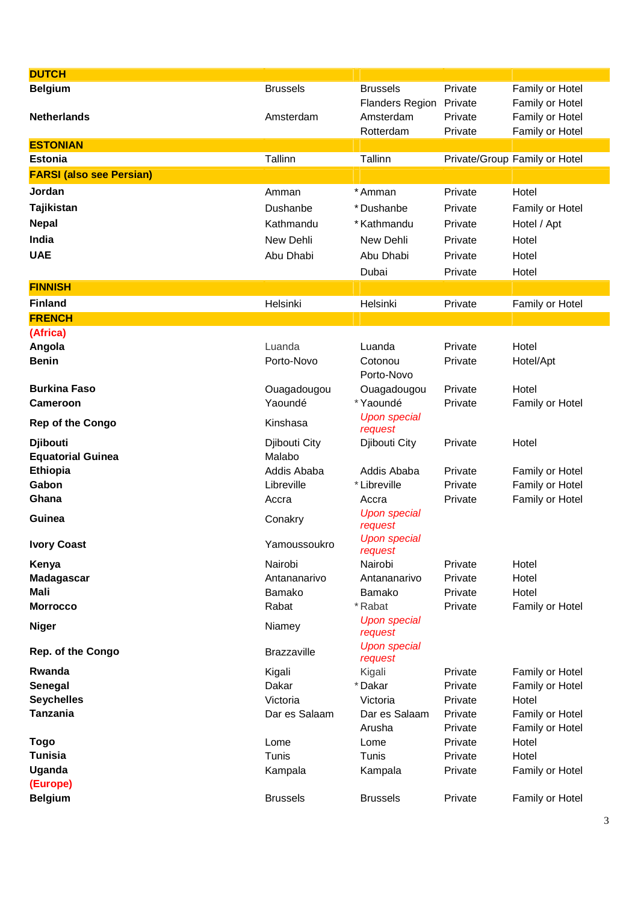| <b>DUTCH</b>                         |                     |                                |                    |                                    |
|--------------------------------------|---------------------|--------------------------------|--------------------|------------------------------------|
| <b>Belgium</b>                       | <b>Brussels</b>     | <b>Brussels</b>                | Private            | Family or Hotel                    |
|                                      |                     | Flanders Region Private        |                    | Family or Hotel                    |
| <b>Netherlands</b>                   | Amsterdam           | Amsterdam                      | Private            | Family or Hotel                    |
|                                      |                     | Rotterdam                      | Private            | Family or Hotel                    |
| <b>ESTONIAN</b>                      |                     |                                |                    |                                    |
| <b>Estonia</b>                       | Tallinn             | Tallinn                        |                    | Private/Group Family or Hotel      |
| <b>FARSI (also see Persian)</b>      |                     |                                |                    |                                    |
| Jordan                               | Amman               | * Amman                        | Private            | Hotel                              |
| Tajikistan                           | Dushanbe            | *Dushanbe                      | Private            | Family or Hotel                    |
| <b>Nepal</b>                         | Kathmandu           | * Kathmandu                    | Private            | Hotel / Apt                        |
| India                                | New Dehli           | New Dehli                      | Private            | Hotel                              |
| <b>UAE</b>                           | Abu Dhabi           | Abu Dhabi                      | Private            | Hotel                              |
|                                      |                     | Dubai                          | Private            | Hotel                              |
| <b>FINNISH</b>                       |                     |                                |                    |                                    |
| <b>Finland</b>                       | Helsinki            | Helsinki                       | Private            | Family or Hotel                    |
| <b>FRENCH</b>                        |                     |                                |                    |                                    |
| (Africa)                             |                     |                                |                    |                                    |
| Angola                               | Luanda              | Luanda                         | Private            | Hotel                              |
| <b>Benin</b>                         | Porto-Novo          | Cotonou                        | Private            | Hotel/Apt                          |
|                                      |                     | Porto-Novo                     |                    |                                    |
| <b>Burkina Faso</b>                  | Ouagadougou         | Ouagadougou                    | Private            | Hotel                              |
| Cameroon                             | Yaoundé             | *Yaoundé                       | Private            | Family or Hotel                    |
| <b>Rep of the Congo</b>              | Kinshasa            | <b>Upon special</b><br>request |                    |                                    |
| <b>Djibouti</b>                      | Djibouti City       | Djibouti City                  | Private            | Hotel                              |
| <b>Equatorial Guinea</b>             | Malabo              |                                |                    |                                    |
| Ethiopia                             | Addis Ababa         | Addis Ababa                    | Private            | Family or Hotel                    |
| Gabon<br>Ghana                       | Libreville<br>Accra | * Libreville<br>Accra          | Private<br>Private | Family or Hotel                    |
|                                      |                     | <b>Upon special</b>            |                    | Family or Hotel                    |
| Guinea                               | Conakry             | request                        |                    |                                    |
| <b>Ivory Coast</b>                   | Yamoussoukro        | <b>Upon special</b><br>request |                    |                                    |
| Kenya                                | Nairobi             | Nairobi                        | Private            | Hotel                              |
| Madagascar                           | Antananarivo        | Antananarivo                   | Private            | Hotel                              |
| <b>Mali</b>                          | Bamako              | Bamako                         | Private            | Hotel                              |
| <b>Morrocco</b>                      | Rabat               | *Rabat                         | Private            | Family or Hotel                    |
| <b>Niger</b>                         | Niamey              | <b>Upon special</b><br>request |                    |                                    |
| <b>Rep. of the Congo</b>             | <b>Brazzaville</b>  | <b>Upon special</b><br>request |                    |                                    |
| Rwanda                               | Kigali              | Kigali                         | Private            | Family or Hotel                    |
| Senegal                              | Dakar               | *Dakar                         | Private            | Family or Hotel                    |
| <b>Seychelles</b><br><b>Tanzania</b> | Victoria            | Victoria                       | Private            | Hotel                              |
|                                      | Dar es Salaam       | Dar es Salaam<br>Arusha        | Private<br>Private | Family or Hotel<br>Family or Hotel |
| <b>Togo</b>                          | Lome                | Lome                           | Private            | Hotel                              |
| <b>Tunisia</b>                       | Tunis               | Tunis                          | Private            | Hotel                              |
| Uganda                               | Kampala             | Kampala                        | Private            | Family or Hotel                    |
| (Europe)                             |                     |                                |                    |                                    |
| <b>Belgium</b>                       | <b>Brussels</b>     | <b>Brussels</b>                | Private            | Family or Hotel                    |
|                                      |                     |                                |                    |                                    |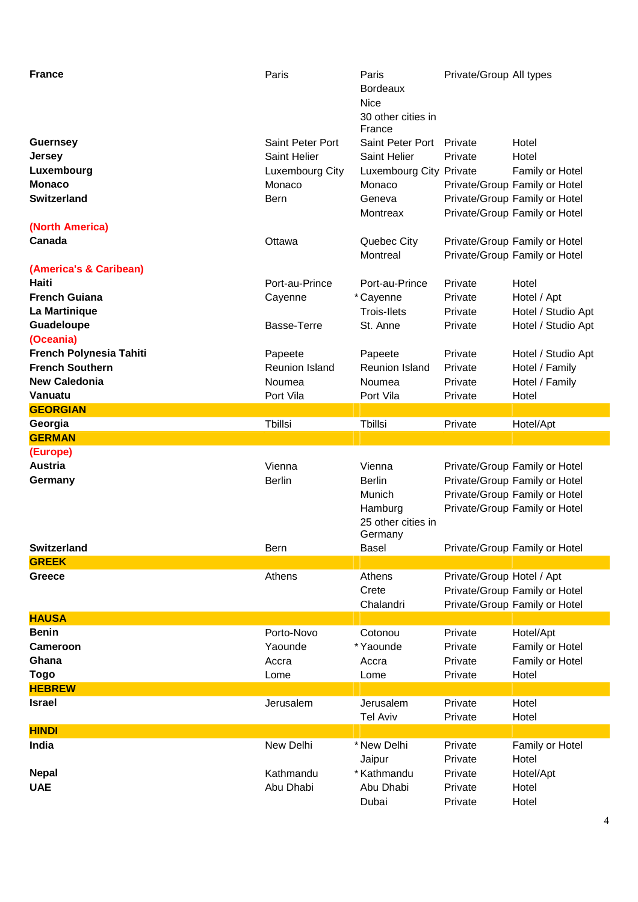| <b>France</b><br><b>Guernsey</b><br>Jersey<br>Luxembourg<br><b>Monaco</b><br><b>Switzerland</b> | Paris<br>Saint Peter Port<br>Saint Helier<br>Luxembourg City<br>Monaco<br>Bern | Paris<br>Bordeaux<br><b>Nice</b><br>30 other cities in<br>France<br>Saint Peter Port<br>Saint Helier<br>Luxembourg City Private<br>Monaco<br>Geneva<br>Montreax | Private/Group All types<br>Private<br>Private | Hotel<br>Hotel<br>Family or Hotel<br>Private/Group Family or Hotel<br>Private/Group Family or Hotel<br>Private/Group Family or Hotel |
|-------------------------------------------------------------------------------------------------|--------------------------------------------------------------------------------|-----------------------------------------------------------------------------------------------------------------------------------------------------------------|-----------------------------------------------|--------------------------------------------------------------------------------------------------------------------------------------|
| (North America)<br>Canada                                                                       | Ottawa                                                                         | Quebec City<br>Montreal                                                                                                                                         |                                               | Private/Group Family or Hotel<br>Private/Group Family or Hotel                                                                       |
| (America's & Caribean)                                                                          |                                                                                |                                                                                                                                                                 |                                               |                                                                                                                                      |
| Haiti                                                                                           | Port-au-Prince                                                                 | Port-au-Prince                                                                                                                                                  | Private                                       | Hotel                                                                                                                                |
| <b>French Guiana</b>                                                                            |                                                                                |                                                                                                                                                                 |                                               |                                                                                                                                      |
|                                                                                                 | Cayenne                                                                        | *Cayenne                                                                                                                                                        | Private                                       | Hotel / Apt                                                                                                                          |
| La Martinique                                                                                   |                                                                                | <b>Trois-Ilets</b>                                                                                                                                              | Private                                       | Hotel / Studio Apt                                                                                                                   |
| Guadeloupe                                                                                      | Basse-Terre                                                                    | St. Anne                                                                                                                                                        | Private                                       | Hotel / Studio Apt                                                                                                                   |
| (Oceania)                                                                                       |                                                                                |                                                                                                                                                                 |                                               |                                                                                                                                      |
| French Polynesia Tahiti                                                                         | Papeete                                                                        | Papeete                                                                                                                                                         | Private                                       | Hotel / Studio Apt                                                                                                                   |
| <b>French Southern</b>                                                                          | Reunion Island                                                                 | <b>Reunion Island</b>                                                                                                                                           | Private                                       | Hotel / Family                                                                                                                       |
| <b>New Caledonia</b>                                                                            | Noumea                                                                         | Noumea                                                                                                                                                          | Private                                       | Hotel / Family                                                                                                                       |
| Vanuatu                                                                                         | Port Vila                                                                      | Port Vila                                                                                                                                                       | Private                                       | Hotel                                                                                                                                |
| <b>GEORGIAN</b>                                                                                 |                                                                                |                                                                                                                                                                 |                                               |                                                                                                                                      |
| Georgia                                                                                         | Tbillsi                                                                        | Tbillsi                                                                                                                                                         | Private                                       | Hotel/Apt                                                                                                                            |
| <b>GERMAN</b>                                                                                   |                                                                                |                                                                                                                                                                 |                                               |                                                                                                                                      |
| (Europe)                                                                                        |                                                                                |                                                                                                                                                                 |                                               |                                                                                                                                      |
| <b>Austria</b>                                                                                  | Vienna                                                                         | Vienna                                                                                                                                                          |                                               | Private/Group Family or Hotel                                                                                                        |
| Germany                                                                                         | <b>Berlin</b>                                                                  | <b>Berlin</b>                                                                                                                                                   |                                               | Private/Group Family or Hotel                                                                                                        |
|                                                                                                 |                                                                                | Munich<br>Hamburg<br>25 other cities in<br>Germany                                                                                                              |                                               | Private/Group Family or Hotel<br>Private/Group Family or Hotel                                                                       |
| <b>Switzerland</b>                                                                              | Bern                                                                           | <b>Basel</b>                                                                                                                                                    |                                               | Private/Group Family or Hotel                                                                                                        |
| <b>GREEK</b>                                                                                    |                                                                                |                                                                                                                                                                 |                                               |                                                                                                                                      |
| Greece                                                                                          | Athens                                                                         | Athens<br>Crete<br>Chalandri                                                                                                                                    | Private/Group Hotel / Apt                     | Private/Group Family or Hotel<br>Private/Group Family or Hotel                                                                       |
| <b>HAUSA</b>                                                                                    |                                                                                |                                                                                                                                                                 |                                               |                                                                                                                                      |
| <b>Benin</b>                                                                                    | Porto-Novo                                                                     | Cotonou                                                                                                                                                         | Private                                       | Hotel/Apt                                                                                                                            |
| <b>Cameroon</b>                                                                                 | Yaounde                                                                        | *Yaounde                                                                                                                                                        | Private                                       | Family or Hotel                                                                                                                      |
| Ghana                                                                                           | Accra                                                                          | Accra                                                                                                                                                           | Private                                       | Family or Hotel                                                                                                                      |
| Togo                                                                                            | Lome                                                                           | Lome                                                                                                                                                            | Private                                       | Hotel                                                                                                                                |
| <b>HEBREW</b>                                                                                   |                                                                                |                                                                                                                                                                 |                                               |                                                                                                                                      |
| <b>Israel</b>                                                                                   | Jerusalem                                                                      | Jerusalem                                                                                                                                                       | Private                                       | Hotel                                                                                                                                |
|                                                                                                 |                                                                                | <b>Tel Aviv</b>                                                                                                                                                 | Private                                       | Hotel                                                                                                                                |
| <b>HINDI</b>                                                                                    |                                                                                |                                                                                                                                                                 |                                               |                                                                                                                                      |
| India                                                                                           | New Delhi                                                                      | * New Delhi                                                                                                                                                     | Private                                       | Family or Hotel                                                                                                                      |
|                                                                                                 |                                                                                | Jaipur                                                                                                                                                          | Private                                       | Hotel                                                                                                                                |
| <b>Nepal</b>                                                                                    |                                                                                |                                                                                                                                                                 |                                               |                                                                                                                                      |
|                                                                                                 | Kathmandu                                                                      | * Kathmandu                                                                                                                                                     | Private                                       | Hotel/Apt                                                                                                                            |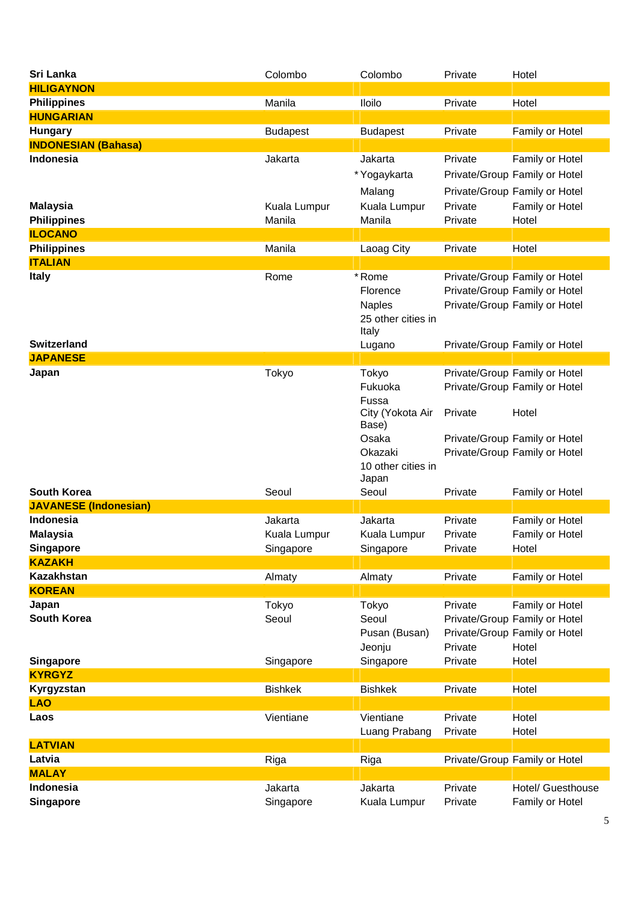| Sri Lanka                    | Colombo         | Colombo            | Private | Hotel                         |
|------------------------------|-----------------|--------------------|---------|-------------------------------|
| <b>HILIGAYNON</b>            |                 |                    |         |                               |
| <b>Philippines</b>           | Manila          | <b>Iloilo</b>      | Private | Hotel                         |
| <b>HUNGARIAN</b>             |                 |                    |         |                               |
| <b>Hungary</b>               | <b>Budapest</b> | <b>Budapest</b>    | Private | Family or Hotel               |
| <b>INDONESIAN (Bahasa)</b>   |                 |                    |         |                               |
| <b>Indonesia</b>             | Jakarta         | Jakarta            | Private | Family or Hotel               |
|                              |                 | * Yogaykarta       |         | Private/Group Family or Hotel |
|                              |                 | Malang             |         | Private/Group Family or Hotel |
| <b>Malaysia</b>              | Kuala Lumpur    | Kuala Lumpur       | Private | Family or Hotel               |
| <b>Philippines</b>           | Manila          | Manila             | Private | Hotel                         |
| <b>ILOCANO</b>               |                 |                    |         |                               |
| <b>Philippines</b>           | Manila          | Laoag City         | Private | Hotel                         |
| <b>ITALIAN</b>               |                 |                    |         |                               |
| <b>Italy</b>                 | Rome            | *Rome              |         | Private/Group Family or Hotel |
|                              |                 | Florence           |         | Private/Group Family or Hotel |
|                              |                 | <b>Naples</b>      |         | Private/Group Family or Hotel |
|                              |                 | 25 other cities in |         |                               |
|                              |                 | Italy              |         |                               |
| <b>Switzerland</b>           |                 | Lugano             |         | Private/Group Family or Hotel |
| <b>JAPANESE</b>              |                 |                    |         |                               |
| Japan                        | Tokyo           | Tokyo              |         | Private/Group Family or Hotel |
|                              |                 | Fukuoka            |         | Private/Group Family or Hotel |
|                              |                 | Fussa              |         |                               |
|                              |                 | City (Yokota Air   | Private | Hotel                         |
|                              |                 | Base)<br>Osaka     |         | Private/Group Family or Hotel |
|                              |                 | Okazaki            |         | Private/Group Family or Hotel |
|                              |                 | 10 other cities in |         |                               |
|                              |                 | Japan              |         |                               |
| <b>South Korea</b>           | Seoul           | Seoul              | Private | Family or Hotel               |
| <b>JAVANESE (Indonesian)</b> |                 |                    |         |                               |
| Indonesia                    | Jakarta         | Jakarta            | Private | Family or Hotel               |
| <b>Malaysia</b>              | Kuala Lumpur    | Kuala Lumpur       | Private | Family or Hotel               |
| <b>Singapore</b>             | Singapore       | Singapore          | Private | Hotel                         |
| <b>KAZAKH</b>                |                 |                    |         |                               |
| <b>Kazakhstan</b>            | Almaty          | Almaty             | Private | Family or Hotel               |
| <b>KOREAN</b>                |                 |                    |         |                               |
| Japan                        | Tokyo           | Tokyo              | Private | Family or Hotel               |
| <b>South Korea</b>           | Seoul           | Seoul              |         | Private/Group Family or Hotel |
|                              |                 | Pusan (Busan)      |         | Private/Group Family or Hotel |
|                              |                 | Jeonju             | Private | Hotel                         |
| <b>Singapore</b>             | Singapore       | Singapore          | Private | Hotel                         |
| <b>KYRGYZ</b>                |                 |                    |         |                               |
| Kyrgyzstan                   | <b>Bishkek</b>  | <b>Bishkek</b>     | Private | Hotel                         |
| <b>LAO</b>                   |                 |                    |         |                               |
| Laos                         | Vientiane       | Vientiane          | Private | Hotel                         |
|                              |                 | Luang Prabang      | Private | Hotel                         |
| <b>LATVIAN</b>               |                 |                    |         |                               |
| Latvia                       | Riga            | Riga               |         | Private/Group Family or Hotel |
| <b>MALAY</b>                 |                 |                    |         |                               |
| Indonesia                    | Jakarta         | Jakarta            | Private | Hotel/ Guesthouse             |
| <b>Singapore</b>             | Singapore       | Kuala Lumpur       | Private | Family or Hotel               |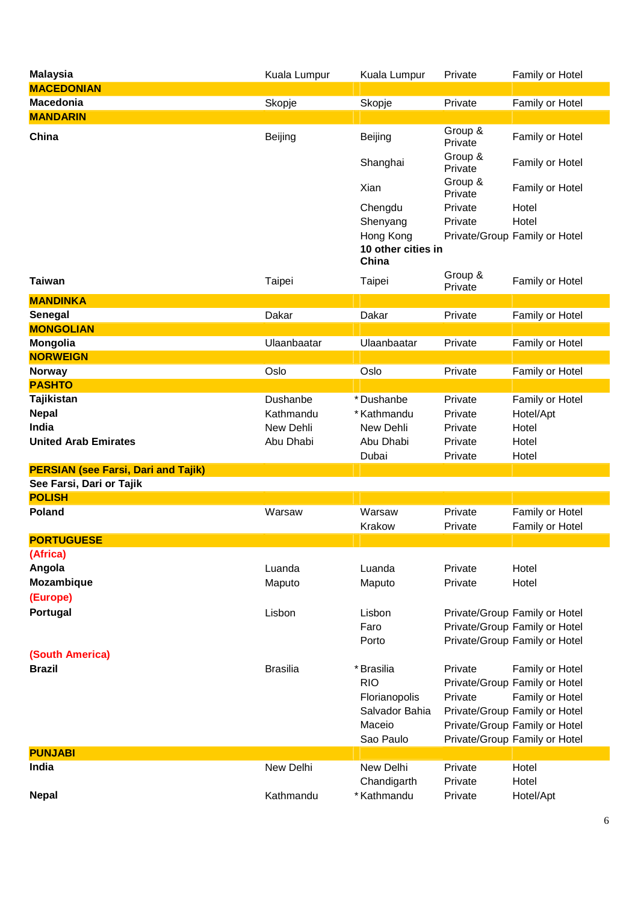| <b>Malaysia</b>                            | Kuala Lumpur    | Kuala Lumpur                             | Private            | Family or Hotel                                                                                 |
|--------------------------------------------|-----------------|------------------------------------------|--------------------|-------------------------------------------------------------------------------------------------|
| <b>MACEDONIAN</b>                          |                 |                                          |                    |                                                                                                 |
| <b>Macedonia</b>                           | Skopje          | Skopje                                   | Private            | Family or Hotel                                                                                 |
| <b>MANDARIN</b>                            |                 |                                          |                    |                                                                                                 |
| China                                      | Beijing         | Beijing                                  | Group &<br>Private | Family or Hotel                                                                                 |
|                                            |                 | Shanghai                                 | Group &<br>Private | Family or Hotel                                                                                 |
|                                            |                 | Xian                                     | Group &<br>Private | Family or Hotel                                                                                 |
|                                            |                 | Chengdu                                  | Private            | Hotel                                                                                           |
|                                            |                 | Shenyang                                 | Private            | Hotel                                                                                           |
|                                            |                 | Hong Kong<br>10 other cities in<br>China |                    | Private/Group Family or Hotel                                                                   |
| <b>Taiwan</b>                              | Taipei          | Taipei                                   | Group &<br>Private | Family or Hotel                                                                                 |
| <b>MANDINKA</b>                            |                 |                                          |                    |                                                                                                 |
| Senegal                                    | Dakar           | Dakar                                    | Private            | Family or Hotel                                                                                 |
| <b>MONGOLIAN</b>                           |                 |                                          |                    |                                                                                                 |
| Mongolia                                   | Ulaanbaatar     | Ulaanbaatar                              | Private            | Family or Hotel                                                                                 |
| <b>NORWEIGN</b>                            |                 |                                          |                    |                                                                                                 |
| <b>Norway</b>                              | Oslo            | Oslo                                     | Private            | Family or Hotel                                                                                 |
| <b>PASHTO</b>                              |                 |                                          |                    |                                                                                                 |
| Tajikistan                                 | Dushanbe        | *Dushanbe                                | Private            | Family or Hotel                                                                                 |
| <b>Nepal</b>                               | Kathmandu       | * Kathmandu                              | Private            | Hotel/Apt                                                                                       |
| India                                      | New Dehli       | New Dehli                                | Private            | Hotel                                                                                           |
| <b>United Arab Emirates</b>                | Abu Dhabi       | Abu Dhabi<br>Dubai                       | Private<br>Private | Hotel<br>Hotel                                                                                  |
| <b>PERSIAN (see Farsi, Dari and Tajik)</b> |                 |                                          |                    |                                                                                                 |
| See Farsi, Dari or Tajik                   |                 |                                          |                    |                                                                                                 |
| <b>POLISH</b>                              |                 |                                          |                    |                                                                                                 |
| <b>Poland</b>                              | Warsaw          | Warsaw<br>Krakow                         | Private<br>Private | Family or Hotel<br>Family or Hotel                                                              |
| <b>PORTUGUESE</b>                          |                 |                                          |                    |                                                                                                 |
| (Africa)                                   |                 |                                          |                    |                                                                                                 |
| Angola                                     | Luanda          | Luanda                                   | Private            | Hotel                                                                                           |
| Mozambique                                 | Maputo          | Maputo                                   | Private            | Hotel                                                                                           |
| (Europe)                                   |                 |                                          |                    |                                                                                                 |
| Portugal                                   | Lisbon          | Lisbon<br>Faro<br>Porto                  |                    | Private/Group Family or Hotel<br>Private/Group Family or Hotel<br>Private/Group Family or Hotel |
| (South America)                            |                 |                                          |                    |                                                                                                 |
| <b>Brazil</b>                              | <b>Brasilia</b> | * Brasilia                               | Private            | Family or Hotel                                                                                 |
|                                            |                 | <b>RIO</b>                               |                    | Private/Group Family or Hotel                                                                   |
|                                            |                 | Florianopolis                            | Private            | Family or Hotel                                                                                 |
|                                            |                 | Salvador Bahia                           |                    | Private/Group Family or Hotel                                                                   |
|                                            |                 | Maceio                                   |                    | Private/Group Family or Hotel                                                                   |
|                                            |                 | Sao Paulo                                |                    | Private/Group Family or Hotel                                                                   |
| <b>PUNJABI</b>                             |                 |                                          |                    |                                                                                                 |
| India                                      | New Delhi       | New Delhi                                | Private            | Hotel                                                                                           |
|                                            |                 | Chandigarth<br>* Kathmandu               | Private            | Hotel                                                                                           |
| <b>Nepal</b>                               | Kathmandu       |                                          | Private            | Hotel/Apt                                                                                       |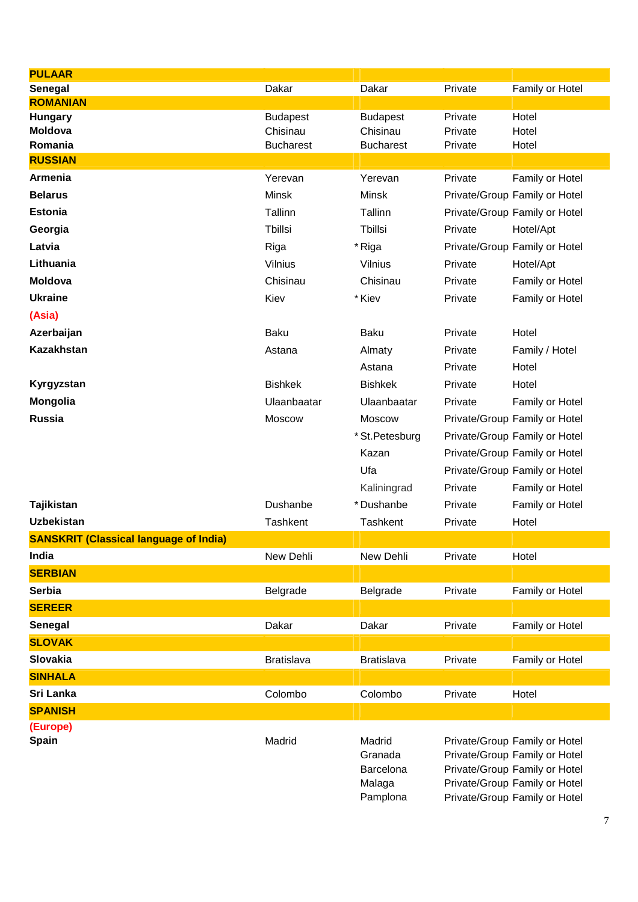| <b>PULAAR</b>                                 |                             |                             |                    |                                                                |
|-----------------------------------------------|-----------------------------|-----------------------------|--------------------|----------------------------------------------------------------|
| Senegal                                       | Dakar                       | Dakar                       | Private            | Family or Hotel                                                |
| <b>ROMANIAN</b>                               |                             |                             |                    |                                                                |
| <b>Hungary</b><br><b>Moldova</b>              | <b>Budapest</b><br>Chisinau | <b>Budapest</b><br>Chisinau | Private<br>Private | Hotel<br>Hotel                                                 |
| Romania                                       | <b>Bucharest</b>            | <b>Bucharest</b>            | Private            | Hotel                                                          |
| <b>RUSSIAN</b>                                |                             |                             |                    |                                                                |
| Armenia                                       | Yerevan                     | Yerevan                     | Private            | Family or Hotel                                                |
| <b>Belarus</b>                                | <b>Minsk</b>                | Minsk                       |                    | Private/Group Family or Hotel                                  |
| <b>Estonia</b>                                | Tallinn                     | Tallinn                     |                    | Private/Group Family or Hotel                                  |
| Georgia                                       | Tbillsi                     | Tbillsi                     | Private            | Hotel/Apt                                                      |
| Latvia                                        | Riga                        | * Riga                      |                    | Private/Group Family or Hotel                                  |
| Lithuania                                     | Vilnius                     | Vilnius                     | Private            | Hotel/Apt                                                      |
| <b>Moldova</b>                                | Chisinau                    | Chisinau                    | Private            | Family or Hotel                                                |
| <b>Ukraine</b>                                | Kiev                        | * Kiev                      | Private            | Family or Hotel                                                |
| (Asia)                                        |                             |                             |                    |                                                                |
| Azerbaijan                                    | Baku                        | <b>Baku</b>                 | Private            | Hotel                                                          |
| <b>Kazakhstan</b>                             | Astana                      | Almaty                      | Private            | Family / Hotel                                                 |
|                                               |                             | Astana                      | Private            | Hotel                                                          |
| Kyrgyzstan                                    | <b>Bishkek</b>              | <b>Bishkek</b>              | Private            | Hotel                                                          |
| Mongolia                                      | Ulaanbaatar                 | Ulaanbaatar                 | Private            | Family or Hotel                                                |
| <b>Russia</b>                                 | Moscow                      | Moscow                      |                    | Private/Group Family or Hotel                                  |
|                                               |                             | * St. Petesburg             |                    | Private/Group Family or Hotel                                  |
|                                               |                             | Kazan                       |                    | Private/Group Family or Hotel                                  |
|                                               |                             | Ufa                         |                    | Private/Group Family or Hotel                                  |
|                                               |                             | Kaliningrad                 | Private            | Family or Hotel                                                |
| Tajikistan                                    | Dushanbe                    | *Dushanbe                   | Private            | Family or Hotel                                                |
| <b>Uzbekistan</b>                             | <b>Tashkent</b>             | Tashkent                    | Private            | Hotel                                                          |
| <b>SANSKRIT (Classical language of India)</b> |                             |                             |                    |                                                                |
| India                                         | New Dehli                   | New Dehli                   | Private            | Hotel                                                          |
| <b>SERBIAN</b>                                |                             |                             |                    |                                                                |
| <b>Serbia</b>                                 | Belgrade                    | Belgrade                    | Private            | Family or Hotel                                                |
| <b>SEREER</b>                                 |                             |                             |                    |                                                                |
| Senegal                                       | Dakar                       | Dakar                       | Private            | Family or Hotel                                                |
| <b>SLOVAK</b>                                 |                             |                             |                    |                                                                |
| Slovakia                                      | <b>Bratislava</b>           | <b>Bratislava</b>           | Private            | Family or Hotel                                                |
| <b>SINHALA</b>                                |                             |                             |                    |                                                                |
| Sri Lanka                                     | Colombo                     | Colombo                     | Private            | Hotel                                                          |
| <b>SPANISH</b>                                |                             |                             |                    |                                                                |
| (Europe)                                      |                             |                             |                    |                                                                |
| Spain                                         | Madrid                      | Madrid                      |                    | Private/Group Family or Hotel                                  |
|                                               |                             | Granada<br>Barcelona        |                    | Private/Group Family or Hotel<br>Private/Group Family or Hotel |
|                                               |                             | Malaga                      |                    | Private/Group Family or Hotel                                  |
|                                               |                             | Pamplona                    |                    | Private/Group Family or Hotel                                  |
|                                               |                             |                             |                    |                                                                |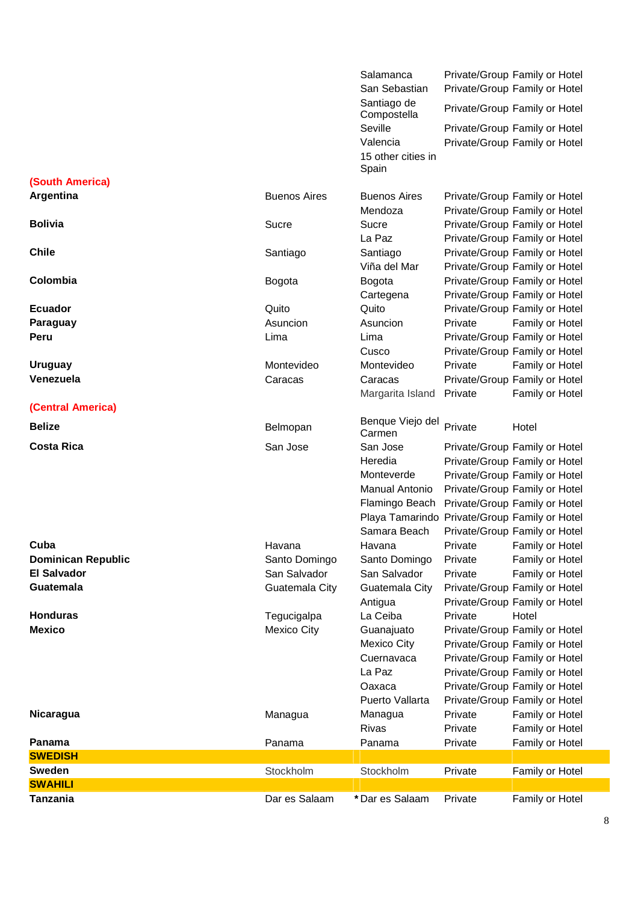|                             |                       | Salamanca<br>San Sebastian                                    |         | Private/Group Family or Hotel<br>Private/Group Family or Hotel |
|-----------------------------|-----------------------|---------------------------------------------------------------|---------|----------------------------------------------------------------|
|                             |                       | Santiago de                                                   |         | Private/Group Family or Hotel                                  |
|                             |                       | Compostella<br>Seville                                        |         |                                                                |
|                             |                       | Valencia<br>15 other cities in                                |         | Private/Group Family or Hotel<br>Private/Group Family or Hotel |
|                             |                       | Spain                                                         |         |                                                                |
| (South America)             |                       |                                                               |         |                                                                |
| Argentina                   | <b>Buenos Aires</b>   | <b>Buenos Aires</b>                                           |         | Private/Group Family or Hotel                                  |
|                             |                       | Mendoza                                                       |         | Private/Group Family or Hotel                                  |
| <b>Bolivia</b>              | Sucre                 | Sucre                                                         |         | Private/Group Family or Hotel                                  |
|                             |                       | La Paz                                                        |         | Private/Group Family or Hotel                                  |
| <b>Chile</b>                | Santiago              | Santiago                                                      |         | Private/Group Family or Hotel                                  |
|                             |                       | Viña del Mar                                                  |         | Private/Group Family or Hotel                                  |
| Colombia                    | Bogota                | Bogota                                                        |         | Private/Group Family or Hotel                                  |
|                             |                       | Cartegena                                                     |         | Private/Group Family or Hotel                                  |
| <b>Ecuador</b>              | Quito                 | Quito                                                         |         | Private/Group Family or Hotel                                  |
| Paraguay                    | Asuncion              | Asuncion                                                      | Private | Family or Hotel                                                |
| Peru                        | Lima                  | Lima                                                          |         | Private/Group Family or Hotel                                  |
|                             |                       | Cusco                                                         | Private | Private/Group Family or Hotel                                  |
| <b>Uruguay</b><br>Venezuela | Montevideo<br>Caracas | Montevideo                                                    |         | Family or Hotel<br>Private/Group Family or Hotel               |
|                             |                       | Caracas<br>Margarita Island                                   | Private | Family or Hotel                                                |
| (Central America)           |                       |                                                               |         |                                                                |
|                             |                       | Benque Viejo del                                              |         |                                                                |
| <b>Belize</b>               | Belmopan              | Carmen                                                        | Private | Hotel                                                          |
| <b>Costa Rica</b>           | San Jose              | San Jose                                                      |         | Private/Group Family or Hotel                                  |
|                             |                       | Heredia                                                       |         | Private/Group Family or Hotel                                  |
|                             |                       | Monteverde                                                    |         | Private/Group Family or Hotel                                  |
|                             |                       | Manual Antonio                                                |         | Private/Group Family or Hotel                                  |
|                             |                       | Flamingo Beach                                                |         | Private/Group Family or Hotel                                  |
|                             |                       | Playa Tamarindo Private/Group Family or Hotel<br>Samara Beach |         |                                                                |
| Cuba                        | Havana                | Havana                                                        |         | Private/Group Family or Hotel<br>Private Family or Hotel       |
| <b>Dominican Republic</b>   | Santo Domingo         | Santo Domingo                                                 | Private | Family or Hotel                                                |
| <b>El Salvador</b>          | San Salvador          | San Salvador                                                  | Private | Family or Hotel                                                |
| Guatemala                   | Guatemala City        | Guatemala City                                                |         | Private/Group Family or Hotel                                  |
|                             |                       | Antigua                                                       |         | Private/Group Family or Hotel                                  |
| <b>Honduras</b>             | Tegucigalpa           | La Ceiba                                                      | Private | Hotel                                                          |
| <b>Mexico</b>               | Mexico City           | Guanajuato                                                    |         | Private/Group Family or Hotel                                  |
|                             |                       | <b>Mexico City</b>                                            |         | Private/Group Family or Hotel                                  |
|                             |                       | Cuernavaca                                                    |         | Private/Group Family or Hotel                                  |
|                             |                       | La Paz                                                        |         | Private/Group Family or Hotel                                  |
|                             |                       | Oaxaca                                                        |         | Private/Group Family or Hotel                                  |
|                             |                       | Puerto Vallarta                                               |         | Private/Group Family or Hotel                                  |
| <b>Nicaragua</b>            | Managua               | Managua                                                       | Private | Family or Hotel                                                |
|                             |                       | Rivas                                                         | Private | Family or Hotel                                                |
| Panama                      | Panama                | Panama                                                        | Private | Family or Hotel                                                |
| <b>SWEDISH</b>              |                       |                                                               |         |                                                                |
| <b>Sweden</b>               | Stockholm             | Stockholm                                                     | Private | Family or Hotel                                                |
| <b>SWAHILI</b>              |                       |                                                               |         |                                                                |
| <b>Tanzania</b>             | Dar es Salaam         | *Dar es Salaam                                                | Private | Family or Hotel                                                |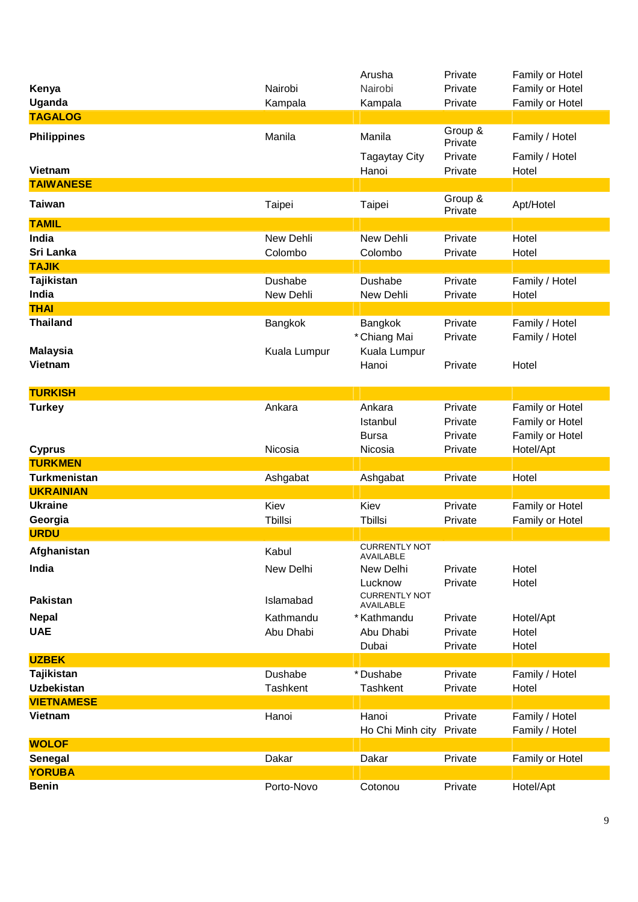|                            |                        | Arusha                             | Private                       | Family or Hotel                                       |
|----------------------------|------------------------|------------------------------------|-------------------------------|-------------------------------------------------------|
| Kenya                      | Nairobi                | Nairobi                            | Private                       | Family or Hotel                                       |
| Uganda                     | Kampala                | Kampala                            | Private                       | Family or Hotel                                       |
| <b>TAGALOG</b>             |                        |                                    |                               |                                                       |
| <b>Philippines</b>         | Manila                 | Manila                             | Group &<br>Private            | Family / Hotel                                        |
| <b>Vietnam</b>             |                        | <b>Tagaytay City</b><br>Hanoi      | Private<br>Private            | Family / Hotel<br>Hotel                               |
| <b>TAIWANESE</b>           |                        |                                    |                               |                                                       |
| <b>Taiwan</b>              | Taipei                 | Taipei                             | Group &<br>Private            | Apt/Hotel                                             |
| <b>TAMIL</b>               |                        |                                    |                               |                                                       |
| India<br>Sri Lanka         | New Dehli<br>Colombo   | New Dehli<br>Colombo               | Private<br>Private            | Hotel<br>Hotel                                        |
| <b>TAJIK</b>               |                        |                                    |                               |                                                       |
| <b>Tajikistan</b><br>India | Dushabe<br>New Dehli   | Dushabe<br>New Dehli               | Private<br>Private            | Family / Hotel<br>Hotel                               |
| <b>THAI</b>                |                        |                                    |                               |                                                       |
| <b>Thailand</b>            | Bangkok                | Bangkok<br>* Chiang Mai            | Private<br>Private            | Family / Hotel<br>Family / Hotel                      |
| <b>Malaysia</b><br>Vietnam | Kuala Lumpur           | Kuala Lumpur<br>Hanoi              | Private                       | Hotel                                                 |
| <b>TURKISH</b>             |                        |                                    |                               |                                                       |
| <b>Turkey</b>              | Ankara                 | Ankara<br>Istanbul<br><b>Bursa</b> | Private<br>Private<br>Private | Family or Hotel<br>Family or Hotel<br>Family or Hotel |
| <b>Cyprus</b>              | Nicosia                | Nicosia                            | Private                       | Hotel/Apt                                             |
| <b>TURKMEN</b>             |                        |                                    |                               |                                                       |
| <b>Turkmenistan</b>        | Ashgabat               | Ashgabat                           | Private                       | Hotel                                                 |
| <b>UKRAINIAN</b>           |                        |                                    |                               |                                                       |
| <b>Ukraine</b>             | Kiev                   | Kiev                               | Private                       | Family or Hotel                                       |
| Georgia                    | <b>Tbillsi</b>         | <b>T</b> billsi                    | Private                       | Family or Hotel                                       |
| <b>URDU</b>                |                        |                                    |                               |                                                       |
| Afghanistan                | Kabul                  | <b>CURRENTLY NOT</b><br>AVAILABLE  |                               |                                                       |
| India                      | New Delhi              | New Delhi<br>Lucknow               | Private<br>Private            | Hotel<br>Hotel                                        |
| <b>Pakistan</b>            | Islamabad              | <b>CURRENTLY NOT</b><br>AVAILABLE  |                               |                                                       |
| <b>Nepal</b><br><b>UAE</b> | Kathmandu<br>Abu Dhabi | * Kathmandu<br>Abu Dhabi           | Private<br>Private            | Hotel/Apt<br>Hotel                                    |
|                            |                        | Dubai                              | Private                       | Hotel                                                 |
| <b>UZBEK</b>               |                        |                                    |                               |                                                       |
| <b>Tajikistan</b>          | Dushabe                | *Dushabe                           | Private                       | Family / Hotel                                        |
| <b>Uzbekistan</b>          | Tashkent               | Tashkent                           | Private                       | Hotel                                                 |
| <b>VIETNAMESE</b>          |                        |                                    |                               |                                                       |
| Vietnam                    | Hanoi                  | Hanoi<br>Ho Chi Minh city          | Private<br>Private            | Family / Hotel<br>Family / Hotel                      |
| <b>WOLOF</b>               |                        |                                    |                               |                                                       |
| Senegal<br><b>YORUBA</b>   | Dakar                  | Dakar                              | Private                       | Family or Hotel                                       |
| <b>Benin</b>               | Porto-Novo             | Cotonou                            | Private                       | Hotel/Apt                                             |